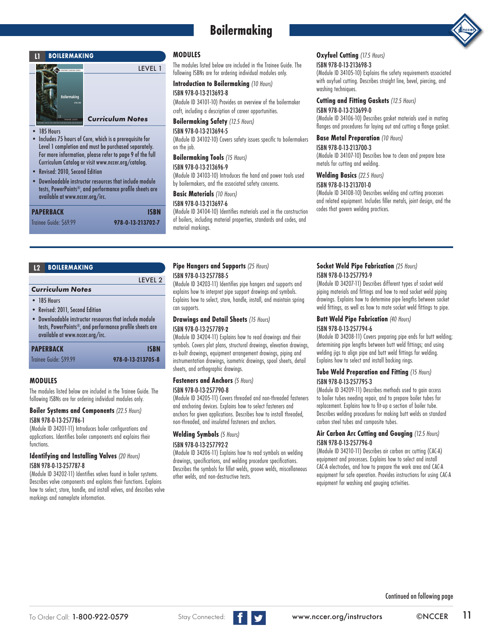# **Boilermaking**





### *Curriculum Notes*

• 185 Hours<br>• Includes 7

- Includes 75 hours of Core, which is a prerequisite for Level 1 completion and must be purchased separately. For more information, please refer to page 9 of the full Curriculum Catalog or visit www.nccer.org/catalog.
- Revised: 2010, Second Edition
- Downloadable instructor resources that include module tests, PowerPoints®, and performance profile sheets are available at www.nccer.org/irc.

| PAPERBACK              | <b>ISBN</b>       |
|------------------------|-------------------|
| Trainee Guide: \$69.99 | 978-0-13-213702-7 |

### **MODULES**

LEVEL 1

The modules listed below are included in the Trainee Guide. The following ISBNs are for ordering individual modules only.

**Introduction to Boilermaking** *(10 Hours)*

# ISBN 978-0-13-213693-8

(Module ID 34101-10) Provides an overview of the boilermaker craft, including a description of career opportunities.

**Boilermaking Safety** *(12.5 Hours)* ISBN 978-0-13-213694-5

(Module ID 34102-10) Covers safety issues specific to boilermakers on the job.

# **Boilermaking Tools** *(15 Hours)*

ISBN 978-0-13-213696-9 (Module ID 34103-10) Introduces the hand and power tools used by boilermakers, and the associated safety concerns.

**Basic Materials** *(10 Hours)*

### ISBN 978-0-13-213697-6

(Module ID 34104-10) Identifies materials used in the construction of boilers, including material properties, standards and codes, and material markings.

# **Oxyfuel Cutting** *(17.5 Hours)*

### ISBN 978-0-13-213698-3

(Module ID 34105-10) Explains the safety requirements associated with oxyfuel cutting. Describes straight line, bevel, piercing, and washing techniques.

# **Cutting and Fitting Gaskets** *(12.5 Hours)*

ISBN 978-0-13-213699-0 (Module ID 34106-10) Describes gasket materials used in mating flanges and procedures for laying out and cutting a flange gasket.

# **Base Metal Preparation** *(10 Hours)*

ISBN 978-0-13-213700-3 (Module ID 34107-10) Describes how to clean and prepare base metals for cutting and welding.

#### **Welding Basics** *(22.5 Hours)*

#### ISBN 978-0-13-213701-0

(Module ID 34108-10) Describes welding and cutting processes and related equipment. Includes filler metals, joint design, and the codes that govern welding practices.

# **L2 BOILERMAKING**

# LEVEL 2 *Curriculum Notes* • 185 Hours • Revised: 2011, Second Edition • Downloadable instructor resources that include module tests, PowerPoints®, and performance profile sheets are available at www.nccer.org/irc. **PAPERBACK ISBN** Trainee Guide: \$99.99 **978-0-13-213705-8**

### **MODULES**

The modules listed below are included in the Trainee Guide. The following ISBNs are for ordering individual modules only.

#### **Boiler Systems and Components** *(22.5 Hours)* ISBN 978-0-13-257786-1

(Module ID 34201-11) Introduces boiler configurations and applications. Identifies boiler components and explains their functions.

### **Identifying and Installing Valves** *(20 Hours)* ISBN 978-0-13-257787-8

(Module ID 34202-11) Identifies valves found in boiler systems. Describes valve components and explains their functions. Explains how to select, store, handle, and install valves, and describes valve markings and nameplate information.

# **Pipe Hangers and Supports** *(25 Hours)*

#### ISBN 978-0-13-257788-5

(Module ID 34203-11) Identifies pipe hangers and supports and explains how to interpret pipe support drawings and symbols. Explains how to select, store, handle, install, and maintain spring can supports.

# **Drawings and Detail Sheets** *(15 Hours)*

# ISBN 978-0-13-257789-**2**

(Module ID 34204-11) Explains how to read drawings and their symbols. Covers plot plans, structural drawings, elevation drawings, as-built drawings, equipment arrangement drawings, piping and instrumentation drawings, isometric drawings, spool sheets, detail sheets, and orthographic drawings.

# **Fasteners and Anchors** *(5 Hours)*

### ISBN 978-0-13-257790-8

(Module ID 34205-11) Covers threaded and non-threaded fasteners and anchoring devices. Explains how to select fasteners and anchors for given applications. Describes how to install threaded, non-threaded, and insulated fasteners and anchors.

### **Welding Symbols** *(5 Hours)* ISBN 978-0-13-257792-2

(Module ID 34206-11) Explains how to read symbols on welding drawings, specifications, and welding procedure specifications. Describes the symbols for fillet welds, groove welds, miscellaneous other welds, and non-destructive tests.

### **Socket Weld Pipe Fabrication** *(25 Hours)* ISBN 978-0-13-257793-9

(Module ID 34207-11) Describes different types of socket weld piping materials and fittings and how to read socket weld piping drawings. Explains how to determine pipe lengths between socket weld fittings, as well as how to mate socket weld fittings to pipe.

### **Butt Weld Pipe Fabrication** *(40 Hours)*

### ISBN 978-0-13-257794-6

(Module ID 34208-11) Covers preparing pipe ends for butt welding; determining pipe lengths between butt weld fittings; and using welding jigs to align pipe and butt weld fittings for welding. Explains how to select and install backing rings.

### **Tube Weld Preparation and Fitting** *(15 Hours)* ISBN 978-0-13-257795-3

(Module ID 34209-11) Describes methods used to gain access to boiler tubes needing repair, and to prepare boiler tubes for replacement. Explains how to fit-up a section of boiler tube. Describes welding procedures for making butt welds on standard carbon steel tubes and composite tubes.

### **Air Carbon Arc Cutting and Gouging** *(12.5 Hours)* ISBN 978-0-13-257796-0

(Module ID 34210-11) Describes air carbon arc cutting (CAC-A) equipment and processes. Explains how to select and install CAC-A electrodes, and how to prepare the work area and CAC-A equipment for safe operation. Provides instructions for using CAC-A equipment for washing and gouging activities.

Continued on following page